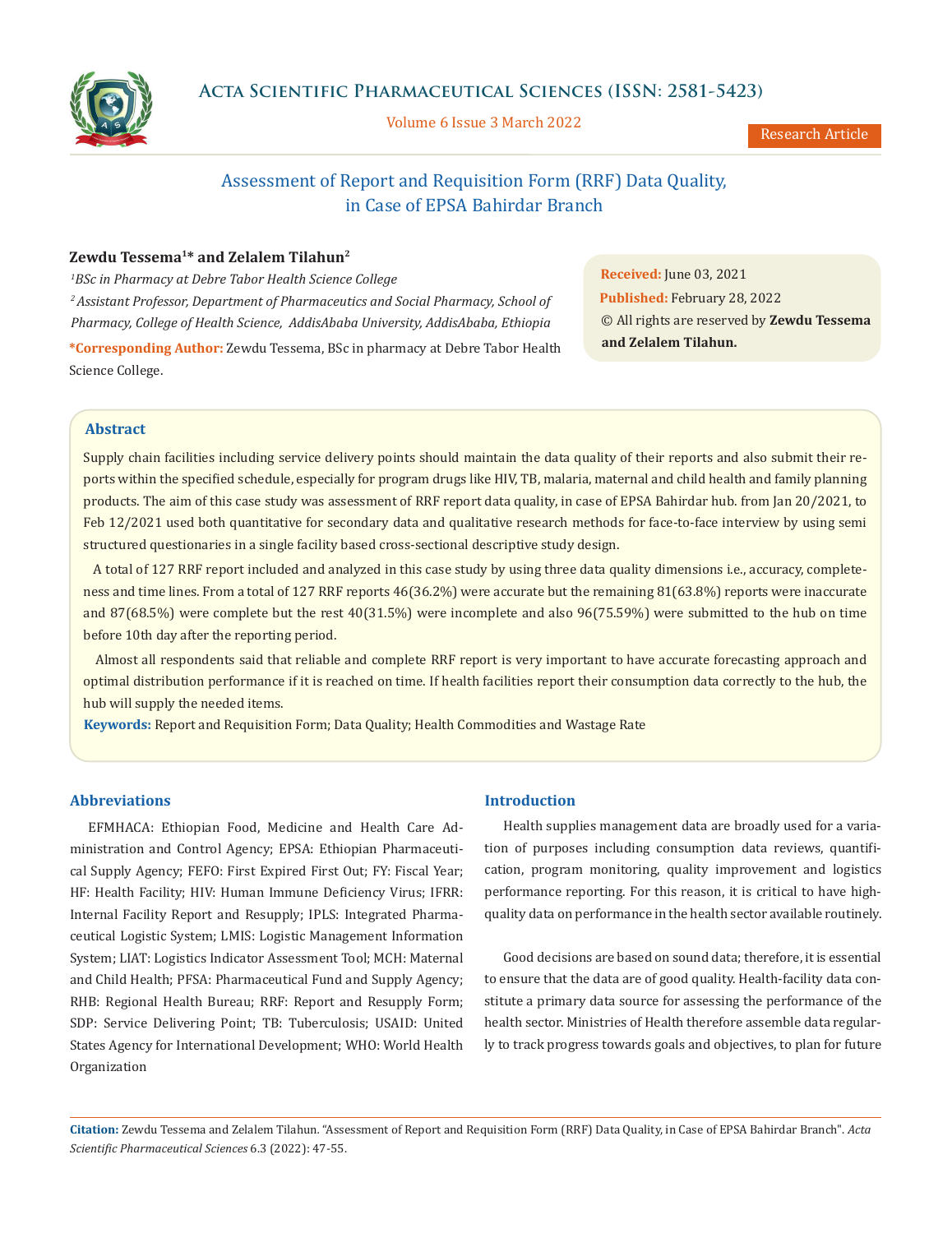

Volume 6 Issue 3 March 2022

Research Article

# Assessment of Report and Requisition Form (RRF) Data Quality, in Case of EPSA Bahirdar Branch

# **Zewdu Tessema1\* and Zelalem Tilahun2**

*1 BSc in Pharmacy at Debre Tabor Health Science College*

*2 Assistant Professor, Department of Pharmaceutics and Social Pharmacy, School of Pharmacy, College of Health Science, AddisAbaba University, AddisAbaba, Ethiopia* **\*Corresponding Author:** Zewdu Tessema, BSc in pharmacy at Debre Tabor Health **Received:** June 03, 2021 **Published:** February 28, 2022 © All rights are reserved by **Zewdu Tessema and Zelalem Tilahun.**

## **Abstract**

Science College.

Supply chain facilities including service delivery points should maintain the data quality of their reports and also submit their reports within the specified schedule, especially for program drugs like HIV, TB, malaria, maternal and child health and family planning products. The aim of this case study was assessment of RRF report data quality, in case of EPSA Bahirdar hub. from Jan 20/2021, to Feb 12/2021 used both quantitative for secondary data and qualitative research methods for face-to-face interview by using semi structured questionaries in a single facility based cross-sectional descriptive study design.

 A total of 127 RRF report included and analyzed in this case study by using three data quality dimensions i.e., accuracy, completeness and time lines. From a total of 127 RRF reports 46(36.2%) were accurate but the remaining 81(63.8%) reports were inaccurate and 87(68.5%) were complete but the rest 40(31.5%) were incomplete and also 96(75.59%) were submitted to the hub on time before 10th day after the reporting period.

 Almost all respondents said that reliable and complete RRF report is very important to have accurate forecasting approach and optimal distribution performance if it is reached on time. If health facilities report their consumption data correctly to the hub, the hub will supply the needed items.

**Keywords:** Report and Requisition Form; Data Quality; Health Commodities and Wastage Rate

# **Abbreviations**

EFMHACA: Ethiopian Food, Medicine and Health Care Administration and Control Agency; EPSA: Ethiopian Pharmaceutical Supply Agency; FEFO: First Expired First Out; FY: Fiscal Year; HF: Health Facility; HIV: Human Immune Deficiency Virus; IFRR: Internal Facility Report and Resupply; IPLS: Integrated Pharmaceutical Logistic System; LMIS: Logistic Management Information System; LIAT: Logistics Indicator Assessment Tool; MCH: Maternal and Child Health; PFSA: Pharmaceutical Fund and Supply Agency; RHB: Regional Health Bureau; RRF: Report and Resupply Form; SDP: Service Delivering Point; TB: Tuberculosis; USAID: United States Agency for International Development; WHO: World Health Organization

### **Introduction**

Health supplies management data are broadly used for a variation of purposes including consumption data reviews, quantification, program monitoring, quality improvement and logistics performance reporting. For this reason, it is critical to have highquality data on performance in the health sector available routinely.

Good decisions are based on sound data; therefore, it is essential to ensure that the data are of good quality. Health-facility data constitute a primary data source for assessing the performance of the health sector. Ministries of Health therefore assemble data regularly to track progress towards goals and objectives, to plan for future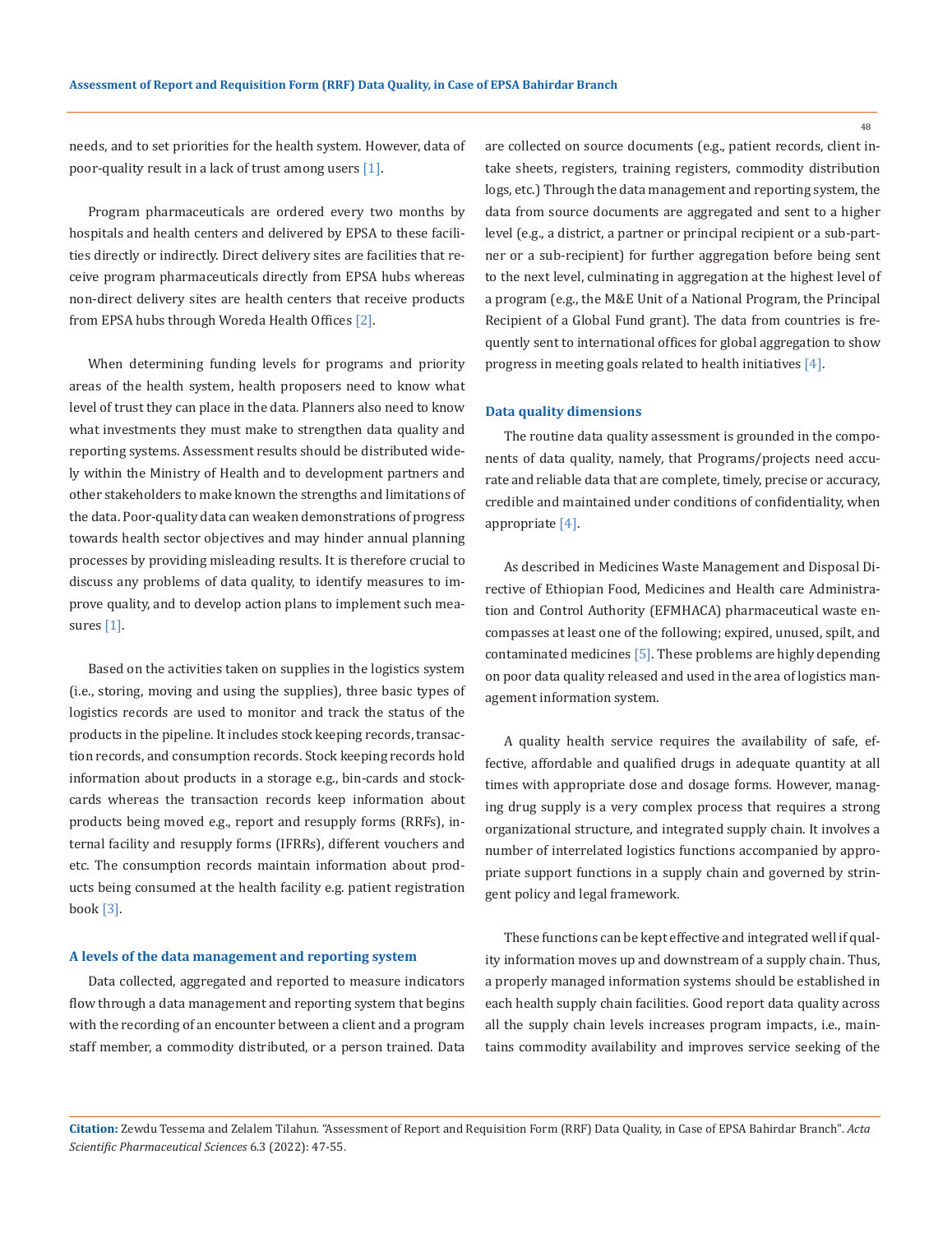needs, and to set priorities for the health system. However, data of poor-quality result in a lack of trust among users [1].

Program pharmaceuticals are ordered every two months by hospitals and health centers and delivered by EPSA to these facilities directly or indirectly. Direct delivery sites are facilities that receive program pharmaceuticals directly from EPSA hubs whereas non-direct delivery sites are health centers that receive products from EPSA hubs through Woreda Health Offices [2].

When determining funding levels for programs and priority areas of the health system, health proposers need to know what level of trust they can place in the data. Planners also need to know what investments they must make to strengthen data quality and reporting systems. Assessment results should be distributed widely within the Ministry of Health and to development partners and other stakeholders to make known the strengths and limitations of the data. Poor-quality data can weaken demonstrations of progress towards health sector objectives and may hinder annual planning processes by providing misleading results. It is therefore crucial to discuss any problems of data quality, to identify measures to improve quality, and to develop action plans to implement such measures [1].

Based on the activities taken on supplies in the logistics system (i.e., storing, moving and using the supplies), three basic types of logistics records are used to monitor and track the status of the products in the pipeline. It includes stock keeping records, transaction records, and consumption records. Stock keeping records hold information about products in a storage e.g., bin-cards and stockcards whereas the transaction records keep information about products being moved e.g., report and resupply forms (RRFs), internal facility and resupply forms (IFRRs), different vouchers and etc. The consumption records maintain information about products being consumed at the health facility e.g. patient registration book [3].

#### **A levels of the data management and reporting system**

Data collected, aggregated and reported to measure indicators flow through a data management and reporting system that begins with the recording of an encounter between a client and a program staff member, a commodity distributed, or a person trained. Data are collected on source documents (e.g., patient records, client intake sheets, registers, training registers, commodity distribution logs, etc.) Through the data management and reporting system, the data from source documents are aggregated and sent to a higher level (e.g., a district, a partner or principal recipient or a sub-partner or a sub-recipient) for further aggregation before being sent to the next level, culminating in aggregation at the highest level of a program (e.g., the M&E Unit of a National Program, the Principal Recipient of a Global Fund grant). The data from countries is frequently sent to international offices for global aggregation to show progress in meeting goals related to health initiatives [4].

#### **Data quality dimensions**

The routine data quality assessment is grounded in the components of data quality, namely, that Programs/projects need accurate and reliable data that are complete, timely, precise or accuracy, credible and maintained under conditions of confidentiality, when appropriate [4].

As described in Medicines Waste Management and Disposal Directive of Ethiopian Food, Medicines and Health care Administration and Control Authority (EFMHACA) pharmaceutical waste encompasses at least one of the following; expired, unused, spilt, and contaminated medicines [5]. These problems are highly depending on poor data quality released and used in the area of logistics management information system.

A quality health service requires the availability of safe, effective, affordable and qualified drugs in adequate quantity at all times with appropriate dose and dosage forms. However, managing drug supply is a very complex process that requires a strong organizational structure, and integrated supply chain. It involves a number of interrelated logistics functions accompanied by appropriate support functions in a supply chain and governed by stringent policy and legal framework.

These functions can be kept effective and integrated well if quality information moves up and downstream of a supply chain. Thus, a properly managed information systems should be established in each health supply chain facilities. Good report data quality across all the supply chain levels increases program impacts, i.e., maintains commodity availability and improves service seeking of the

**Citation:** Zewdu Tessema and Zelalem Tilahun*.* "Assessment of Report and Requisition Form (RRF) Data Quality, in Case of EPSA Bahirdar Branch". *Acta Scientific Pharmaceutical Sciences* 6.3 (2022): 47-55.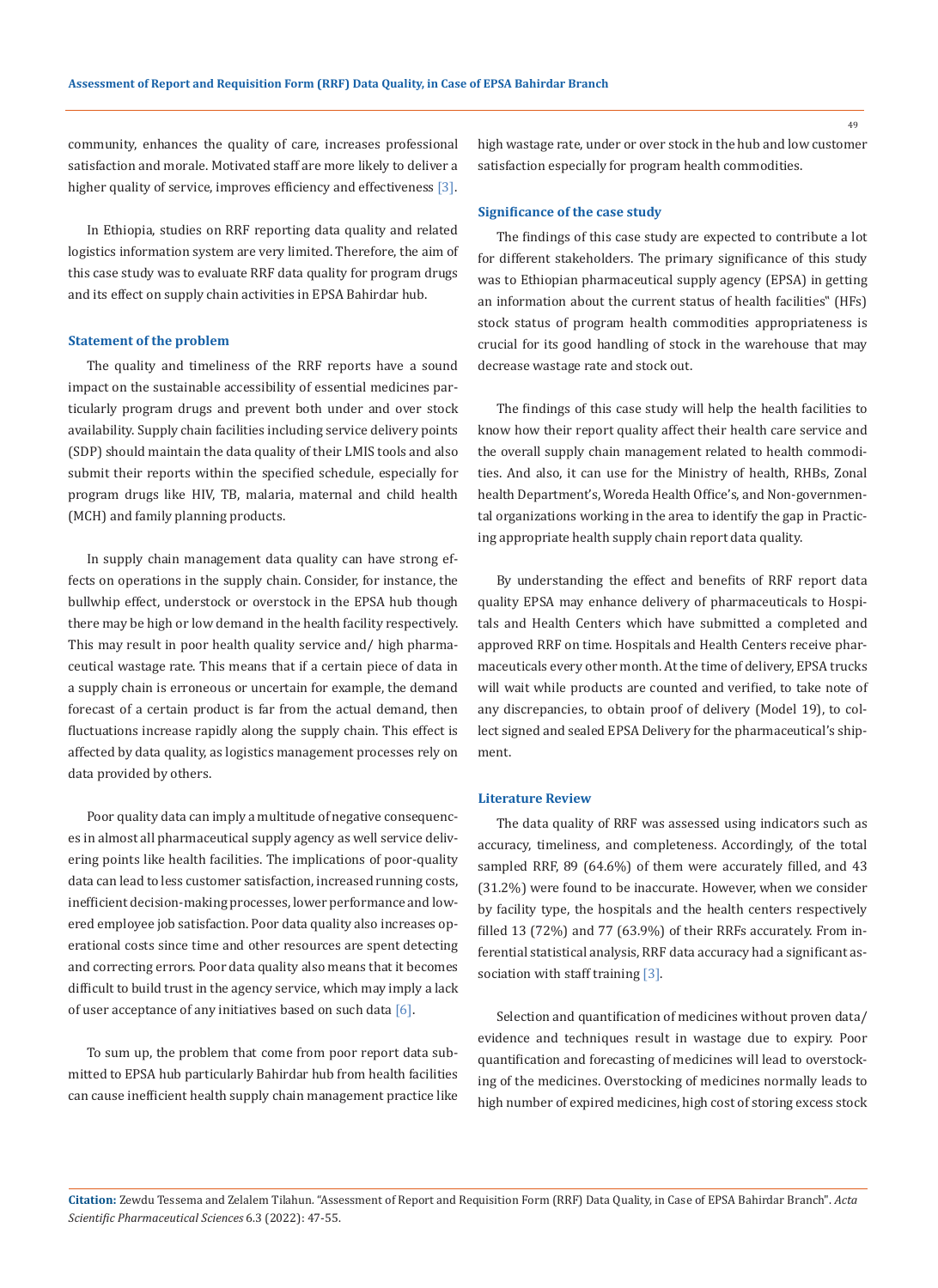community, enhances the quality of care, increases professional satisfaction and morale. Motivated staff are more likely to deliver a higher quality of service, improves efficiency and effectiveness [3].

In Ethiopia, studies on RRF reporting data quality and related logistics information system are very limited. Therefore, the aim of this case study was to evaluate RRF data quality for program drugs and its effect on supply chain activities in EPSA Bahirdar hub.

#### **Statement of the problem**

The quality and timeliness of the RRF reports have a sound impact on the sustainable accessibility of essential medicines particularly program drugs and prevent both under and over stock availability. Supply chain facilities including service delivery points (SDP) should maintain the data quality of their LMIS tools and also submit their reports within the specified schedule, especially for program drugs like HIV, TB, malaria, maternal and child health (MCH) and family planning products.

In supply chain management data quality can have strong effects on operations in the supply chain. Consider, for instance, the bullwhip effect, understock or overstock in the EPSA hub though there may be high or low demand in the health facility respectively. This may result in poor health quality service and/ high pharmaceutical wastage rate. This means that if a certain piece of data in a supply chain is erroneous or uncertain for example, the demand forecast of a certain product is far from the actual demand, then fluctuations increase rapidly along the supply chain. This effect is affected by data quality, as logistics management processes rely on data provided by others.

Poor quality data can imply a multitude of negative consequences in almost all pharmaceutical supply agency as well service delivering points like health facilities. The implications of poor-quality data can lead to less customer satisfaction, increased running costs, inefficient decision-making processes, lower performance and lowered employee job satisfaction. Poor data quality also increases operational costs since time and other resources are spent detecting and correcting errors. Poor data quality also means that it becomes difficult to build trust in the agency service, which may imply a lack of user acceptance of any initiatives based on such data  $[6]$ .

To sum up, the problem that come from poor report data submitted to EPSA hub particularly Bahirdar hub from health facilities can cause inefficient health supply chain management practice like high wastage rate, under or over stock in the hub and low customer satisfaction especially for program health commodities.

#### **Significance of the case study**

The findings of this case study are expected to contribute a lot for different stakeholders. The primary significance of this study was to Ethiopian pharmaceutical supply agency (EPSA) in getting an information about the current status of health facilities" (HFs) stock status of program health commodities appropriateness is crucial for its good handling of stock in the warehouse that may decrease wastage rate and stock out.

The findings of this case study will help the health facilities to know how their report quality affect their health care service and the overall supply chain management related to health commodities. And also, it can use for the Ministry of health, RHBs, Zonal health Department's, Woreda Health Office's, and Non-governmental organizations working in the area to identify the gap in Practicing appropriate health supply chain report data quality.

By understanding the effect and benefits of RRF report data quality EPSA may enhance delivery of pharmaceuticals to Hospitals and Health Centers which have submitted a completed and approved RRF on time. Hospitals and Health Centers receive pharmaceuticals every other month. At the time of delivery, EPSA trucks will wait while products are counted and verified, to take note of any discrepancies, to obtain proof of delivery (Model 19), to collect signed and sealed EPSA Delivery for the pharmaceutical's shipment.

#### **Literature Review**

The data quality of RRF was assessed using indicators such as accuracy, timeliness, and completeness. Accordingly, of the total sampled RRF, 89 (64.6%) of them were accurately filled, and 43 (31.2%) were found to be inaccurate. However, when we consider by facility type, the hospitals and the health centers respectively filled 13 (72%) and 77 (63.9%) of their RRFs accurately. From inferential statistical analysis, RRF data accuracy had a significant association with staff training [3].

Selection and quantification of medicines without proven data/ evidence and techniques result in wastage due to expiry. Poor quantification and forecasting of medicines will lead to overstocking of the medicines. Overstocking of medicines normally leads to high number of expired medicines, high cost of storing excess stock

**Citation:** Zewdu Tessema and Zelalem Tilahun*.* "Assessment of Report and Requisition Form (RRF) Data Quality, in Case of EPSA Bahirdar Branch". *Acta Scientific Pharmaceutical Sciences* 6.3 (2022): 47-55.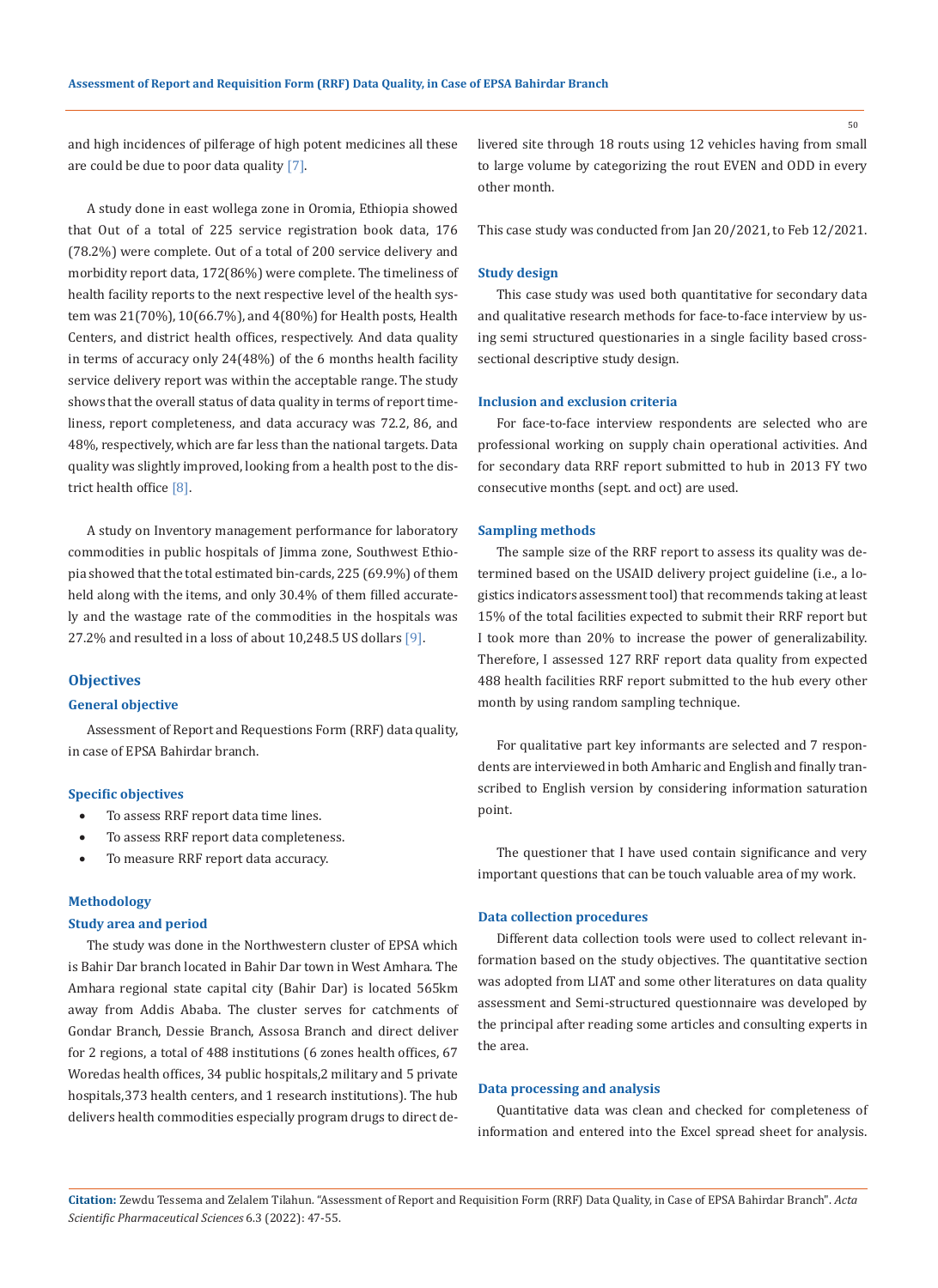and high incidences of pilferage of high potent medicines all these are could be due to poor data quality [7].

A study done in east wollega zone in Oromia, Ethiopia showed that Out of a total of 225 service registration book data, 176 (78.2%) were complete. Out of a total of 200 service delivery and morbidity report data, 172(86%) were complete. The timeliness of health facility reports to the next respective level of the health system was 21(70%), 10(66.7%), and 4(80%) for Health posts, Health Centers, and district health offices, respectively. And data quality in terms of accuracy only 24(48%) of the 6 months health facility service delivery report was within the acceptable range. The study shows that the overall status of data quality in terms of report timeliness, report completeness, and data accuracy was 72.2, 86, and 48%, respectively, which are far less than the national targets. Data quality was slightly improved, looking from a health post to the district health office [8].

A study on Inventory management performance for laboratory commodities in public hospitals of Jimma zone, Southwest Ethiopia showed that the total estimated bin-cards, 225 (69.9%) of them held along with the items, and only 30.4% of them filled accurately and the wastage rate of the commodities in the hospitals was 27.2% and resulted in a loss of about 10,248.5 US dollars [9].

#### **Objectives**

### **General objective**

Assessment of Report and Requestions Form (RRF) data quality, in case of EPSA Bahirdar branch.

#### **Specific objectives**

- To assess RRF report data time lines.
- To assess RRF report data completeness.
- To measure RRF report data accuracy.

### **Methodology**

#### **Study area and period**

The study was done in the Northwestern cluster of EPSA which is Bahir Dar branch located in Bahir Dar town in West Amhara. The Amhara regional state capital city (Bahir Dar) is located 565km away from Addis Ababa. The cluster serves for catchments of Gondar Branch, Dessie Branch, Assosa Branch and direct deliver for 2 regions, a total of 488 institutions (6 zones health offices, 67 Woredas health offices, 34 public hospitals,2 military and 5 private hospitals,373 health centers, and 1 research institutions). The hub delivers health commodities especially program drugs to direct delivered site through 18 routs using 12 vehicles having from small to large volume by categorizing the rout EVEN and ODD in every other month.

This case study was conducted from Jan 20/2021, to Feb 12/2021.

#### **Study design**

This case study was used both quantitative for secondary data and qualitative research methods for face-to-face interview by using semi structured questionaries in a single facility based crosssectional descriptive study design.

#### **Inclusion and exclusion criteria**

For face-to-face interview respondents are selected who are professional working on supply chain operational activities. And for secondary data RRF report submitted to hub in 2013 FY two consecutive months (sept. and oct) are used.

#### **Sampling methods**

The sample size of the RRF report to assess its quality was determined based on the USAID delivery project guideline (i.e., a logistics indicators assessment tool) that recommends taking at least 15% of the total facilities expected to submit their RRF report but I took more than 20% to increase the power of generalizability. Therefore, I assessed 127 RRF report data quality from expected 488 health facilities RRF report submitted to the hub every other month by using random sampling technique.

For qualitative part key informants are selected and 7 respondents are interviewed in both Amharic and English and finally transcribed to English version by considering information saturation point.

The questioner that I have used contain significance and very important questions that can be touch valuable area of my work.

### **Data collection procedures**

Different data collection tools were used to collect relevant information based on the study objectives. The quantitative section was adopted from LIAT and some other literatures on data quality assessment and Semi-structured questionnaire was developed by the principal after reading some articles and consulting experts in the area.

### **Data processing and analysis**

Quantitative data was clean and checked for completeness of information and entered into the Excel spread sheet for analysis.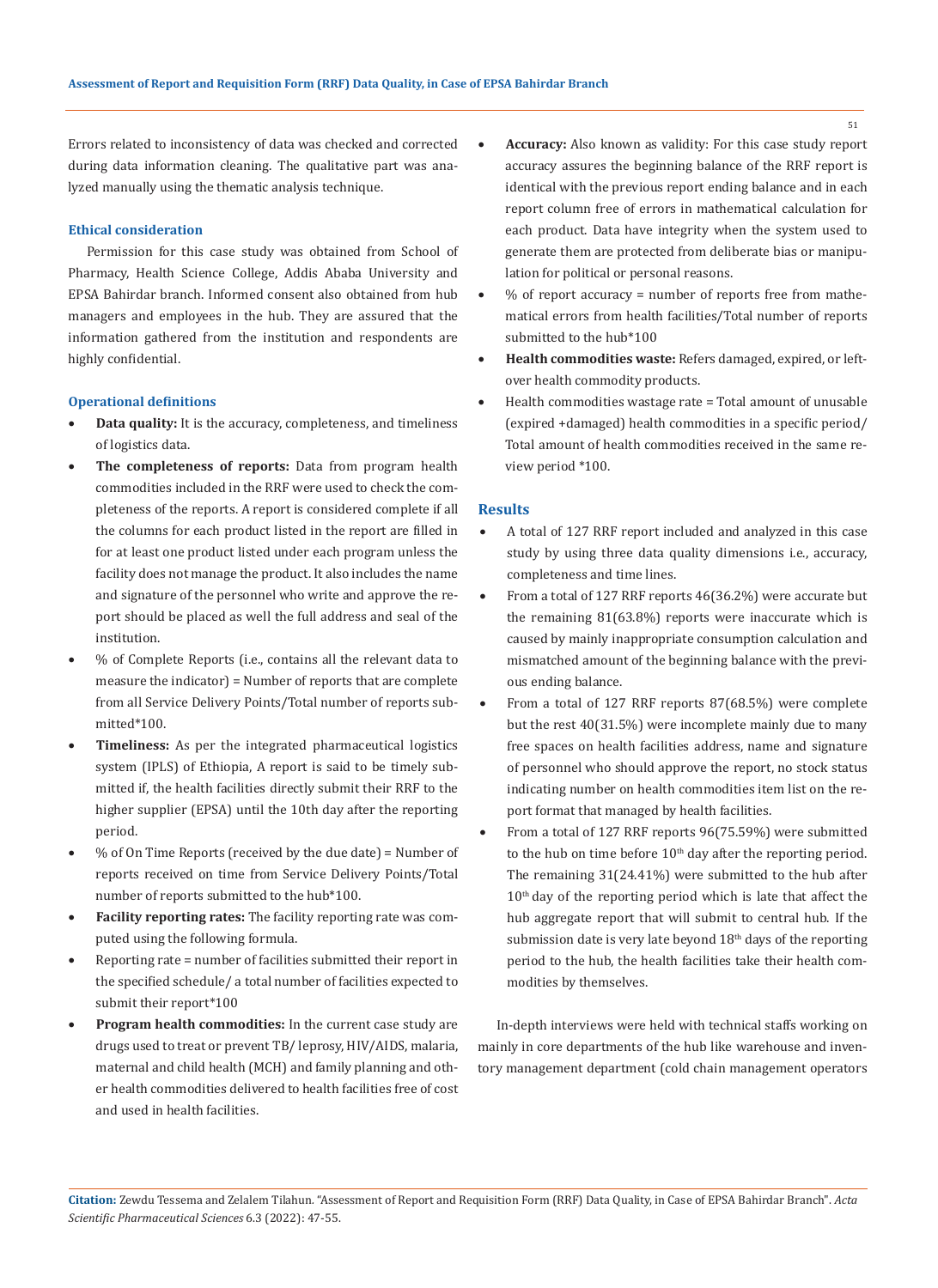Errors related to inconsistency of data was checked and corrected during data information cleaning. The qualitative part was analyzed manually using the thematic analysis technique.

### **Ethical consideration**

Permission for this case study was obtained from School of Pharmacy, Health Science College, Addis Ababa University and EPSA Bahirdar branch. Informed consent also obtained from hub managers and employees in the hub. They are assured that the information gathered from the institution and respondents are highly confidential.

#### **Operational definitions**

- Data quality: It is the accuracy, completeness, and timeliness of logistics data.
- The completeness of reports: Data from program health commodities included in the RRF were used to check the completeness of the reports. A report is considered complete if all the columns for each product listed in the report are filled in for at least one product listed under each program unless the facility does not manage the product. It also includes the name and signature of the personnel who write and approve the report should be placed as well the full address and seal of the institution.
- % of Complete Reports (i.e., contains all the relevant data to measure the indicator) = Number of reports that are complete from all Service Delivery Points/Total number of reports submitted\*100.
- • **Timeliness:** As per the integrated pharmaceutical logistics system (IPLS) of Ethiopia, A report is said to be timely submitted if, the health facilities directly submit their RRF to the higher supplier (EPSA) until the 10th day after the reporting period.
- • % of On Time Reports (received by the due date) = Number of reports received on time from Service Delivery Points/Total number of reports submitted to the hub\*100.
- • **Facility reporting rates:** The facility reporting rate was computed using the following formula.
- Reporting rate = number of facilities submitted their report in the specified schedule/ a total number of facilities expected to submit their report\*100
- • **Program health commodities:** In the current case study are drugs used to treat or prevent TB/ leprosy, HIV/AIDS, malaria, maternal and child health (MCH) and family planning and other health commodities delivered to health facilities free of cost and used in health facilities.
- Accuracy: Also known as validity: For this case study report accuracy assures the beginning balance of the RRF report is identical with the previous report ending balance and in each report column free of errors in mathematical calculation for each product. Data have integrity when the system used to generate them are protected from deliberate bias or manipulation for political or personal reasons.
- $%$  of report accuracy = number of reports free from mathematical errors from health facilities/Total number of reports submitted to the hub\*100
- Health commodities waste: Refers damaged, expired, or leftover health commodity products.
- Health commodities wastage rate = Total amount of unusable (expired +damaged) health commodities in a specific period/ Total amount of health commodities received in the same review period \*100.

#### **Results**

- A total of 127 RRF report included and analyzed in this case study by using three data quality dimensions i.e., accuracy, completeness and time lines.
- From a total of 127 RRF reports 46(36.2%) were accurate but the remaining 81(63.8%) reports were inaccurate which is caused by mainly inappropriate consumption calculation and mismatched amount of the beginning balance with the previous ending balance.
- From a total of 127 RRF reports 87(68.5%) were complete but the rest 40(31.5%) were incomplete mainly due to many free spaces on health facilities address, name and signature of personnel who should approve the report, no stock status indicating number on health commodities item list on the report format that managed by health facilities.
- From a total of 127 RRF reports 96(75.59%) were submitted to the hub on time before  $10<sup>th</sup>$  day after the reporting period. The remaining 31(24.41%) were submitted to the hub after  $10<sup>th</sup>$  day of the reporting period which is late that affect the hub aggregate report that will submit to central hub. If the submission date is very late beyond  $18<sup>th</sup>$  days of the reporting period to the hub, the health facilities take their health commodities by themselves.

In-depth interviews were held with technical staffs working on mainly in core departments of the hub like warehouse and inventory management department (cold chain management operators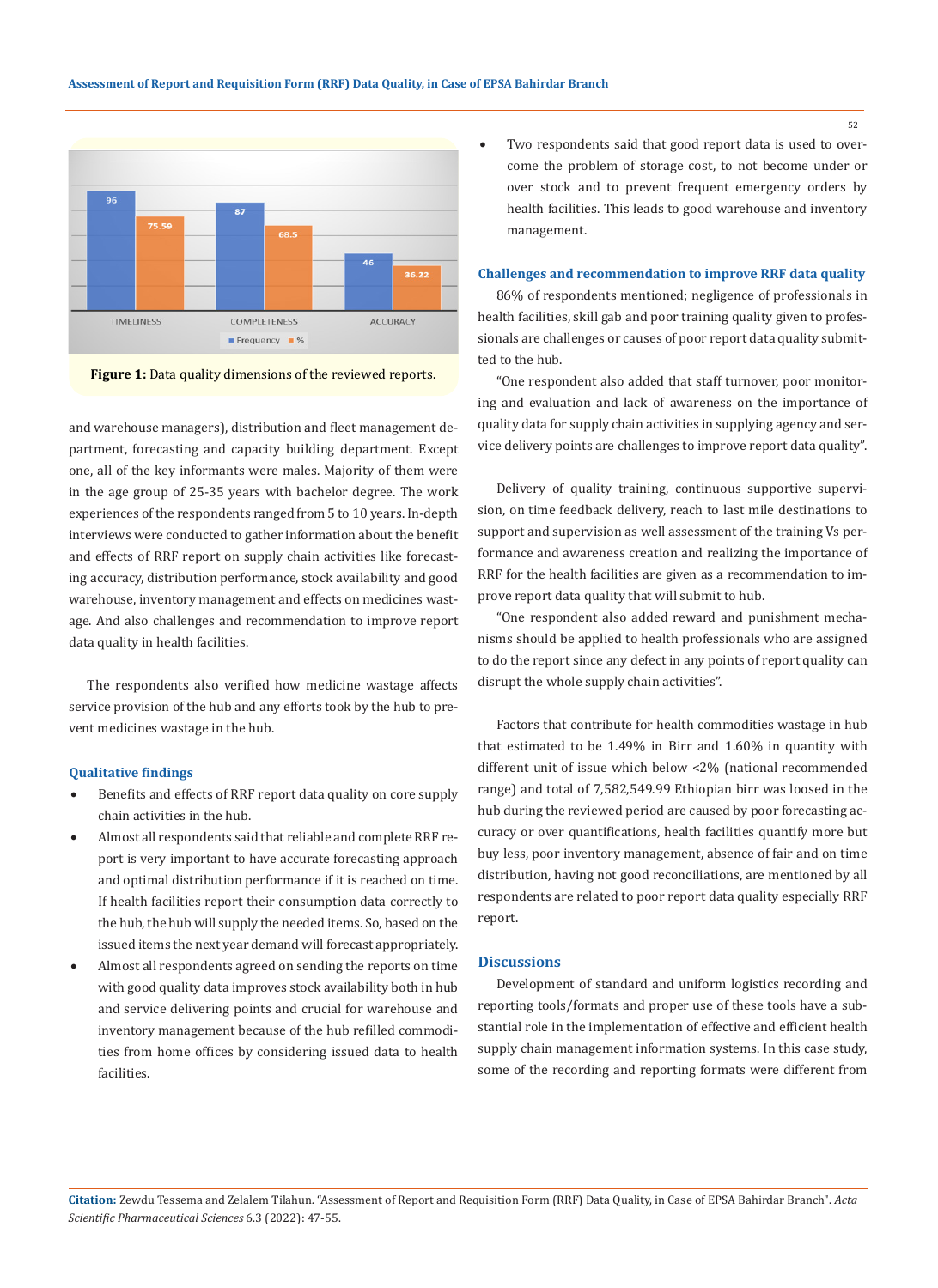

**Figure 1:** Data quality dimensions of the reviewed reports.

and warehouse managers), distribution and fleet management department, forecasting and capacity building department. Except one, all of the key informants were males. Majority of them were in the age group of 25-35 years with bachelor degree. The work experiences of the respondents ranged from 5 to 10 years. In-depth interviews were conducted to gather information about the benefit and effects of RRF report on supply chain activities like forecasting accuracy, distribution performance, stock availability and good warehouse, inventory management and effects on medicines wastage. And also challenges and recommendation to improve report data quality in health facilities.

The respondents also verified how medicine wastage affects service provision of the hub and any efforts took by the hub to prevent medicines wastage in the hub.

#### **Qualitative findings**

- Benefits and effects of RRF report data quality on core supply chain activities in the hub.
- Almost all respondents said that reliable and complete RRF report is very important to have accurate forecasting approach and optimal distribution performance if it is reached on time. If health facilities report their consumption data correctly to the hub, the hub will supply the needed items. So, based on the issued items the next year demand will forecast appropriately.
- Almost all respondents agreed on sending the reports on time with good quality data improves stock availability both in hub and service delivering points and crucial for warehouse and inventory management because of the hub refilled commodities from home offices by considering issued data to health facilities.

Two respondents said that good report data is used to overcome the problem of storage cost, to not become under or over stock and to prevent frequent emergency orders by health facilities. This leads to good warehouse and inventory management.

### **Challenges and recommendation to improve RRF data quality**

86% of respondents mentioned; negligence of professionals in health facilities, skill gab and poor training quality given to professionals are challenges or causes of poor report data quality submitted to the hub.

"One respondent also added that staff turnover, poor monitoring and evaluation and lack of awareness on the importance of quality data for supply chain activities in supplying agency and service delivery points are challenges to improve report data quality".

Delivery of quality training, continuous supportive supervision, on time feedback delivery, reach to last mile destinations to support and supervision as well assessment of the training Vs performance and awareness creation and realizing the importance of RRF for the health facilities are given as a recommendation to improve report data quality that will submit to hub.

"One respondent also added reward and punishment mechanisms should be applied to health professionals who are assigned to do the report since any defect in any points of report quality can disrupt the whole supply chain activities".

Factors that contribute for health commodities wastage in hub that estimated to be 1.49% in Birr and 1.60% in quantity with different unit of issue which below <2% (national recommended range) and total of 7,582,549.99 Ethiopian birr was loosed in the hub during the reviewed period are caused by poor forecasting accuracy or over quantifications, health facilities quantify more but buy less, poor inventory management, absence of fair and on time distribution, having not good reconciliations, are mentioned by all respondents are related to poor report data quality especially RRF report.

# **Discussions**

Development of standard and uniform logistics recording and reporting tools/formats and proper use of these tools have a substantial role in the implementation of effective and efficient health supply chain management information systems. In this case study, some of the recording and reporting formats were different from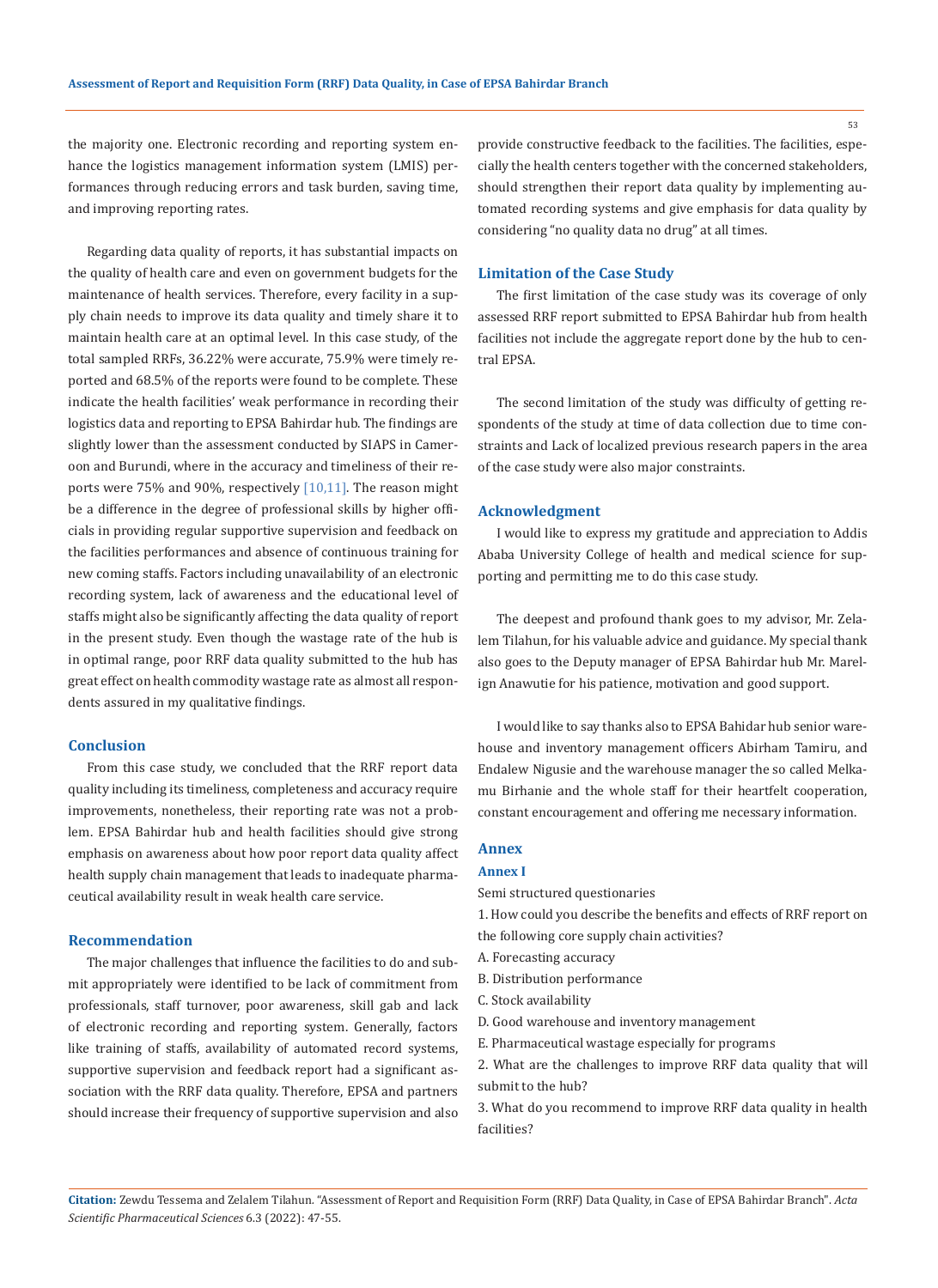53

the majority one. Electronic recording and reporting system enhance the logistics management information system (LMIS) performances through reducing errors and task burden, saving time, and improving reporting rates.

Regarding data quality of reports, it has substantial impacts on the quality of health care and even on government budgets for the maintenance of health services. Therefore, every facility in a supply chain needs to improve its data quality and timely share it to maintain health care at an optimal level. In this case study, of the total sampled RRFs, 36.22% were accurate, 75.9% were timely reported and 68.5% of the reports were found to be complete. These indicate the health facilities' weak performance in recording their logistics data and reporting to EPSA Bahirdar hub. The findings are slightly lower than the assessment conducted by SIAPS in Cameroon and Burundi, where in the accuracy and timeliness of their reports were 75% and 90%, respectively [10,11]. The reason might be a difference in the degree of professional skills by higher officials in providing regular supportive supervision and feedback on the facilities performances and absence of continuous training for new coming staffs. Factors including unavailability of an electronic recording system, lack of awareness and the educational level of staffs might also be significantly affecting the data quality of report in the present study. Even though the wastage rate of the hub is in optimal range, poor RRF data quality submitted to the hub has great effect on health commodity wastage rate as almost all respondents assured in my qualitative findings.

#### **Conclusion**

From this case study, we concluded that the RRF report data quality including its timeliness, completeness and accuracy require improvements, nonetheless, their reporting rate was not a problem. EPSA Bahirdar hub and health facilities should give strong emphasis on awareness about how poor report data quality affect health supply chain management that leads to inadequate pharmaceutical availability result in weak health care service.

### **Recommendation**

The major challenges that influence the facilities to do and submit appropriately were identified to be lack of commitment from professionals, staff turnover, poor awareness, skill gab and lack of electronic recording and reporting system. Generally, factors like training of staffs, availability of automated record systems, supportive supervision and feedback report had a significant association with the RRF data quality. Therefore, EPSA and partners should increase their frequency of supportive supervision and also

provide constructive feedback to the facilities. The facilities, especially the health centers together with the concerned stakeholders, should strengthen their report data quality by implementing automated recording systems and give emphasis for data quality by considering "no quality data no drug" at all times.

### **Limitation of the Case Study**

The first limitation of the case study was its coverage of only assessed RRF report submitted to EPSA Bahirdar hub from health facilities not include the aggregate report done by the hub to central EPSA.

The second limitation of the study was difficulty of getting respondents of the study at time of data collection due to time constraints and Lack of localized previous research papers in the area of the case study were also major constraints.

### **Acknowledgment**

I would like to express my gratitude and appreciation to Addis Ababa University College of health and medical science for supporting and permitting me to do this case study.

The deepest and profound thank goes to my advisor, Mr. Zelalem Tilahun, for his valuable advice and guidance. My special thank also goes to the Deputy manager of EPSA Bahirdar hub Mr. Marelign Anawutie for his patience, motivation and good support.

I would like to say thanks also to EPSA Bahidar hub senior warehouse and inventory management officers Abirham Tamiru, and Endalew Nigusie and the warehouse manager the so called Melkamu Birhanie and the whole staff for their heartfelt cooperation, constant encouragement and offering me necessary information.

# **Annex**

# **Annex I**

Semi structured questionaries

1. How could you describe the benefits and effects of RRF report on the following core supply chain activities?

- A. Forecasting accuracy
- B. Distribution performance
- C. Stock availability
- D. Good warehouse and inventory management
- E. Pharmaceutical wastage especially for programs
- 2. What are the challenges to improve RRF data quality that will submit to the hub?
- 3. What do you recommend to improve RRF data quality in health facilities?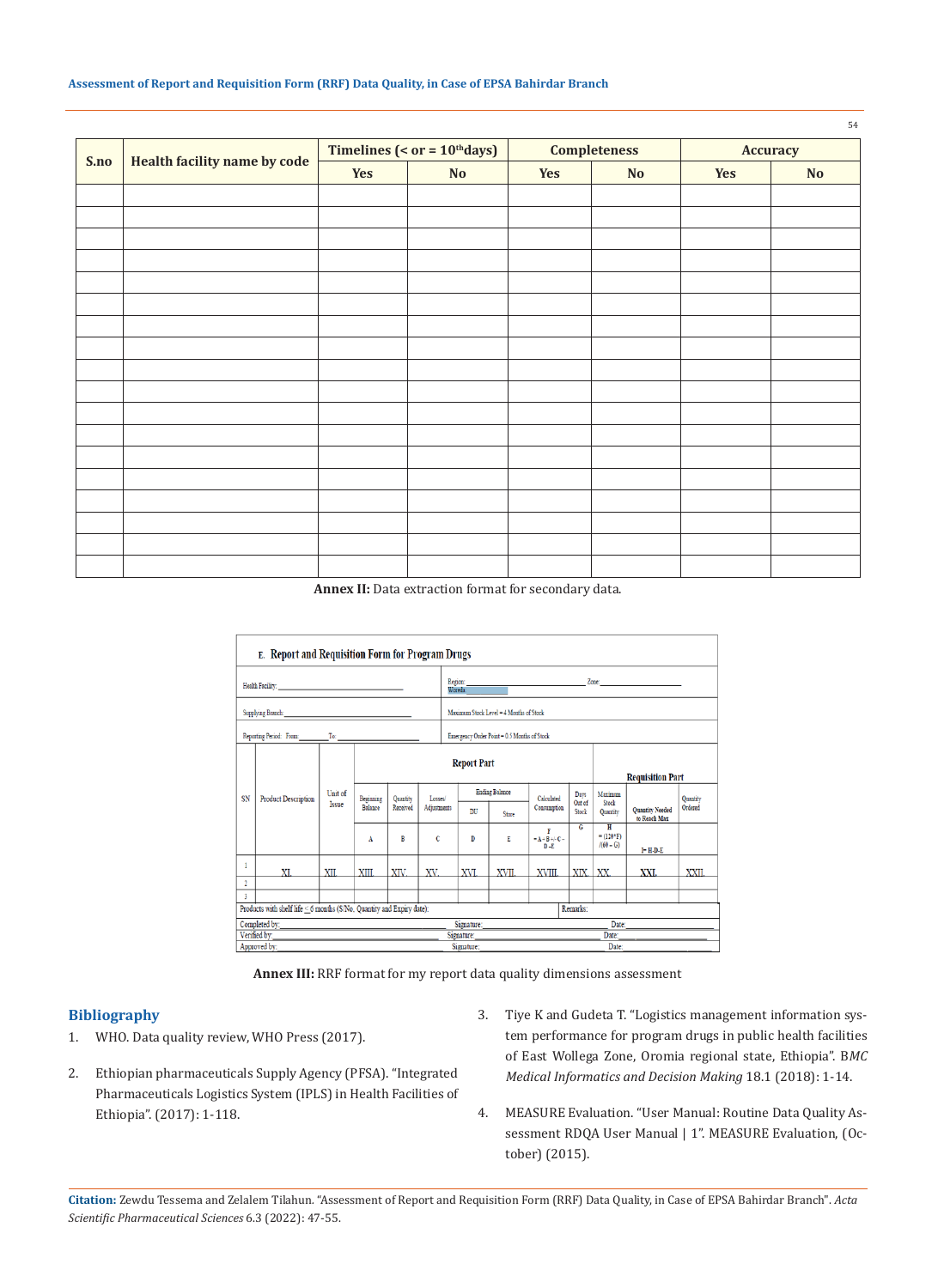| S.no | <b>Health facility name by code</b> | Timelines (< $or = 10th days$ ) |    | <b>Completeness</b> |    | <b>Accuracy</b> |    |
|------|-------------------------------------|---------------------------------|----|---------------------|----|-----------------|----|
|      |                                     | Yes                             | No | Yes                 | No | Yes             | No |
|      |                                     |                                 |    |                     |    |                 |    |
|      |                                     |                                 |    |                     |    |                 |    |
|      |                                     |                                 |    |                     |    |                 |    |
|      |                                     |                                 |    |                     |    |                 |    |
|      |                                     |                                 |    |                     |    |                 |    |
|      |                                     |                                 |    |                     |    |                 |    |
|      |                                     |                                 |    |                     |    |                 |    |
|      |                                     |                                 |    |                     |    |                 |    |
|      |                                     |                                 |    |                     |    |                 |    |
|      |                                     |                                 |    |                     |    |                 |    |
|      |                                     |                                 |    |                     |    |                 |    |
|      |                                     |                                 |    |                     |    |                 |    |
|      |                                     |                                 |    |                     |    |                 |    |
|      |                                     |                                 |    |                     |    |                 |    |
|      |                                     |                                 |    |                     |    |                 |    |
|      |                                     |                                 |    |                     |    |                 |    |
|      |                                     |                                 |    |                     |    |                 |    |
|      |                                     |                                 |    |                     |    |                 |    |

#### **Assessment of Report and Requisition Form (RRF) Data Quality, in Case of EPSA Bahirdar Branch**

**Annex II:** Data extraction format for secondary data.



**Annex III:** RRF format for my report data quality dimensions assessment

### **Bibliography**

- 1. WHO. Data quality review, WHO Press (2017).
- 2. Ethiopian pharmaceuticals Supply Agency (PFSA). "Integrated Pharmaceuticals Logistics System (IPLS) in Health Facilities of Ethiopia". (2017): 1-118.
- 3. [Tiye K and Gudeta T. "Logistics management information sys](https://bmcmedinformdecismak.biomedcentral.com/articles/10.1186/s12911-018-0720-9)[tem performance for program drugs in public health facilities](https://bmcmedinformdecismak.biomedcentral.com/articles/10.1186/s12911-018-0720-9)  [of East Wollega Zone, Oromia regional state, Ethiopia". B](https://bmcmedinformdecismak.biomedcentral.com/articles/10.1186/s12911-018-0720-9)*MC [Medical Informatics and Decision Making](https://bmcmedinformdecismak.biomedcentral.com/articles/10.1186/s12911-018-0720-9)* 18.1 (2018): 1-14.
- 4. MEASURE Evaluation. "User Manual: Routine Data Quality Assessment RDQA User Manual | 1". MEASURE Evaluation, (October) (2015).